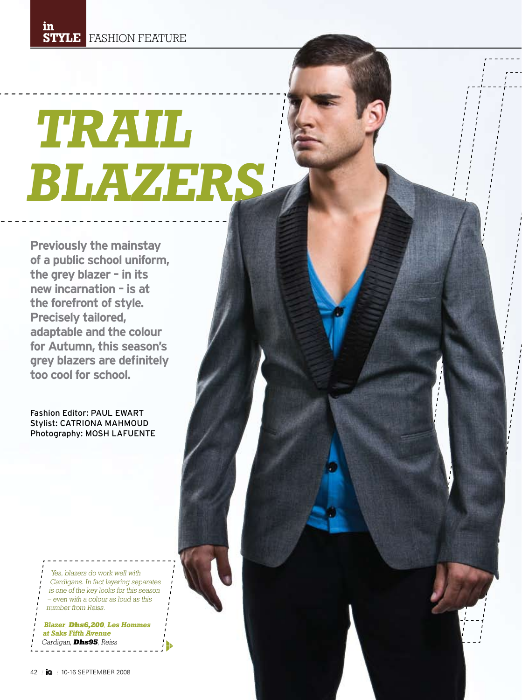# **Trail Blazers**

**Previously the mainstay of a public school uniform, the grey blazer – in its new incarnation – is at the forefront of style. Precisely tailored, adaptable and the colour for Autumn, this season's grey blazers are definitely too cool for school.**

Fashion Editor: Paul Ewart Stylist: CATRIONA MAHMOUD Photography: Mosh LAFUENTE

> Yes, blazers do work well with Cardigans. In fact layering separates is one of the key looks for this season – even with a colour as loud as this number from Reiss.

**Blazer**, **Dhs6,200**, **Les Hommes at Saks Fifth Avenue** Cardigan, **Dhs95**, Reiss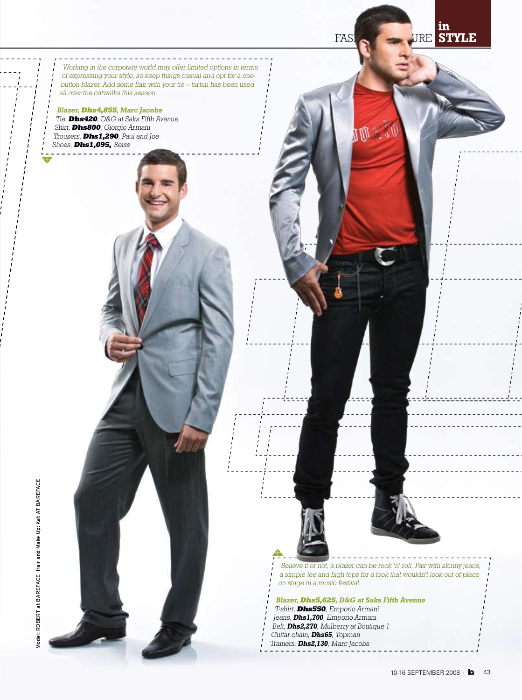**KOL** 

FASH STYL **in**

Working in the corporate world may offer limited options in terms of expressing your style, so keep things casual and opt for a onebutton blazer. Add some flair with your tie – tartan has been used all over the catwalks this season.

**Blazer, Dhs4,855, Marc Jacobs** Tie, **Dhs420**, D&G at Saks Fifth Avenue Shirt, **Dhs800**, Giorgio Armani Trousers, **Dhs1,290**, Paul and Joe Shoes, **Dhs1,095,** Reiss

> Believe it or not, a blazer can be rock 'n' roll. Pair with skinny jeans, a simple tee and high tops for a look that wouldn't look out of place on stage in a music festival.

**Blazer, Dhs5,625, D&G at Saks Fifth Avenue**

- T-shirt, **Dhs550**, Emporio Armani Jeans, **Dhs1,700**, Emporio Armani
- Belt, **Dhs2,270**, Mulberry at Boutique 1
- Guitar chain, **Dhs65**, Topman
- Trainers, **Dhs2,130**, Marc Jacobs
- 

Model: ROBERT at BAREFACE Hair and Make Up: Kat AT BAREFACE Model: Robert at Bareface Hair and Make Up: Kat at BarefacE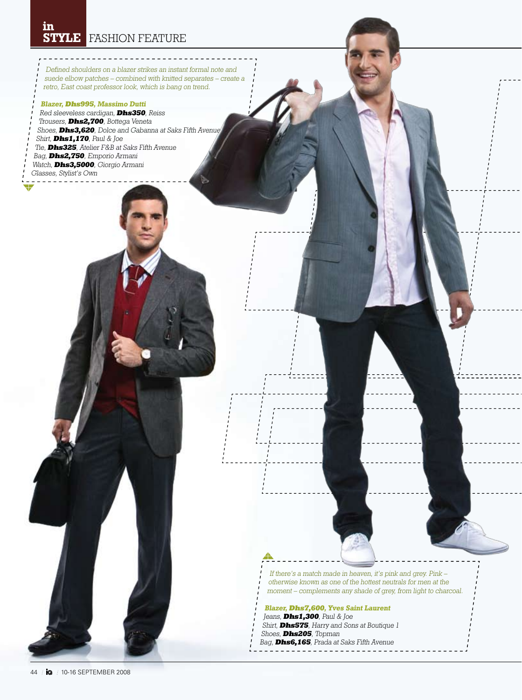# FASHION FEATURE **STYLEin**

Defined shoulders on a blazer strikes an instant formal note and suede elbow patches – combined with knitted separates – create a retro, East coast professor look, which is bang on trend.

### **Blazer, Dhs995, Massimo Dutti** Red sleeveless cardigan, **Dhs350**, Reiss Trousers, **Dhs2,700**, Bottega Veneta Shoes, **Dhs3,620**, Dolce and Gabanna at Saks Fifth Avenue Shirt, **Dhs1,170**, Paul & Joe Tie, **Dhs325**, Atelier F&B at Saks Fifth Avenue Bag, **Dhs2,750**, Emporio Armani Watch, **Dhs3,5000**, Giorgio Armani Glasses, Stylist's Own

If there's a match made in heaven, it's pink and grey. Pink – otherwise known as one of the hottest neutrals for men at the moment – complements any shade of grey, from light to charcoal.

### **Blazer, Dhs7,600, Yves Saint Laurent**

- Jeans, **Dhs1,300**, Paul & Joe Shirt, **Dhs575**, Harry and Sons at Boutique 1 Shoes, **Dhs205**, Topman Bag, **Dhs6,165**, Prada at Saks Fifth Avenue
-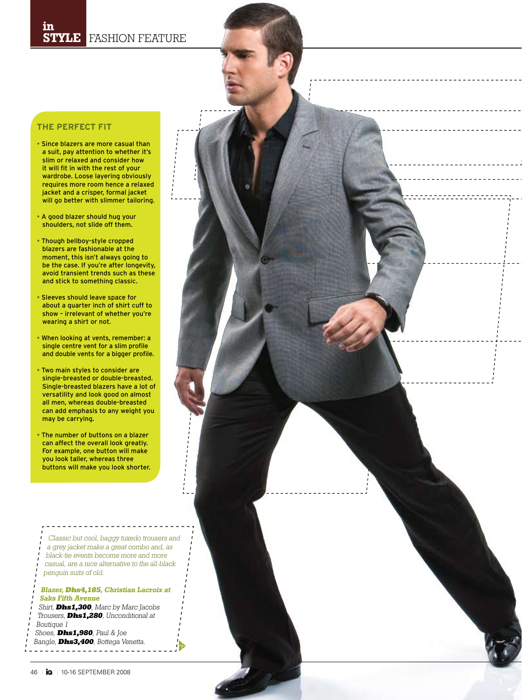## **The Perfect Fit**

- Since blazers are more casual than a suit, pay attention to whether it's slim or relaxed and consider how it will fit in with the rest of your wardrobe. Loose layering obviously requires more room hence a relaxed jacket and a crisper, formal jacket will go better with slimmer tailoring.
- A good blazer should hug your shoulders, not slide off them.
- Though bellboy-style cropped blazers are fashionable at the moment, this isn't always going to be the case. If you're after longevity, avoid transient trends such as these and stick to something classic.
- Sleeves should leave space for about a quarter inch of shirt cuff to show – irrelevant of whether you're wearing a shirt or not.
- When looking at vents, remember: a single centre vent for a slim profile and double vents for a bigger profile.
- Two main styles to consider are single-breasted or double-breasted. Single-breasted blazers have a lot of versatility and look good on almost all men, whereas double-breasted can add emphasis to any weight you may be carrying.
- The number of buttons on a blazer can affect the overall look greatly. For example, one button will make you look taller, whereas three buttons will make you look shorter.

Classic but cool, baggy tuxedo trousers and a grey jacket make a great combo and, as black-tie events become more and more casual, are a nice alternative to the all-black penguin suits of old.

### **Blazer, Dhs4,185, Christian Lacroix at Saks Fifth Avenue**

Shirt, **Dhs1,300**, Marc by Marc Jacobs Trousers, **Dhs1,280**, Unconditional at Boutique 1

Bangle, **Dhs3,400**, Bottega Venetta. Shoes, **Dhs1,980**, Paul & Joe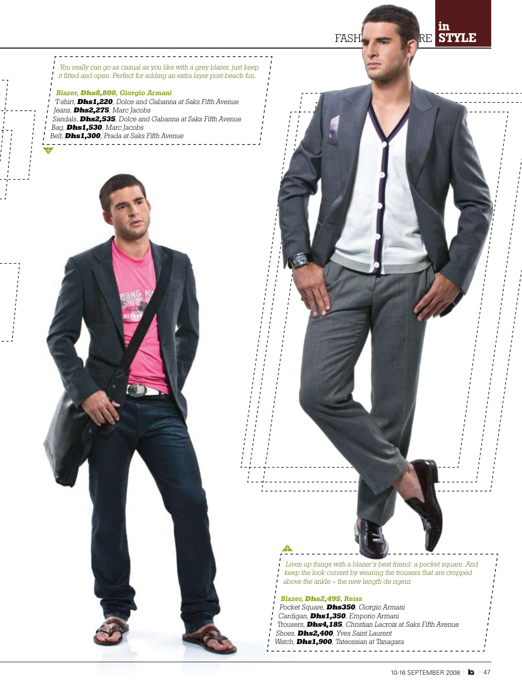FASHION RE

**in STYLE**

You really can go as casual as you like with a grey blazer, just keep it fitted and open. Perfect for adding an extra layer post-beach fun.

**Blazer, Dhs8,800, Giorgio Armani** T-shirt, **Dhs1,220**, Dolce and Gabanna at Saks Fifth Avenue Jeans, **Dhs2,275**, Marc Jacobs Sandals, **Dhs2,535**, Dolce and Gabanna at Saks Fifth Avenue Bag, **Dhs1,530**, Marc Jacobs Belt, **Dhs1,300**, Prada at Saks Fifth Avenue



Liven up things with a blazer's best friend: a pocket square. And keep the look current by wearing the trousers that are cropped above the ankle – the new length de rigeur. **Blazer, Dhs2,495, Reiss**

- Pocket Square, **Dhs350**, Giorgio Armani
- Cardigan, **Dhs1,350**, Emporio Armani
- Trousers, **Dhs4,185**, Christian Lacroix at Saks Fifth Avenue Shoes, **Dhs2,400**, Yves Saint Laurent
- Watch, **Dhs1,900**, Tateossian at Tanagara